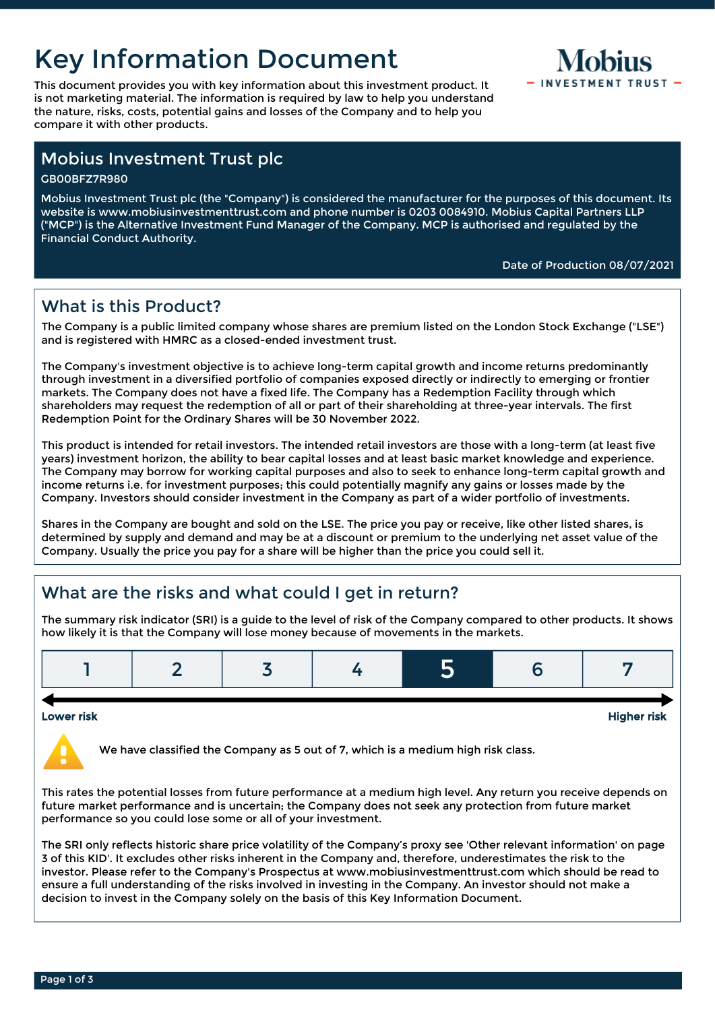# Key Information Document

This document provides you with key information about this investment product. It  $-1$  INVESTMENT TRUST is not marketing material. The information is required by law to help you understand the nature, risks, costs, potential gains and losses of the Company and to help you compare it with other products.



## Mobius Investment Trust plc

GB00BFZ7R980

Mobius Investment Trust plc (the "Company") is considered the manufacturer for the purposes of this document. Its website is www.mobiusinvestmenttrust.com and phone number is 0203 0084910. Mobius Capital Partners LLP ("MCP") is the Alternative Investment Fund Manager of the Company. MCP is authorised and regulated by the Financial Conduct Authority.

#### Date of Production 08/07/2021

## What is this Product?

The Company is a public limited company whose shares are premium listed on the London Stock Exchange ("LSE") and is registered with HMRC as a closed-ended investment trust.

The Company's investment objective is to achieve long-term capital growth and income returns predominantly through investment in a diversified portfolio of companies exposed directly or indirectly to emerging or frontier markets. The Company does not have a fixed life. The Company has a Redemption Facility through which shareholders may request the redemption of all or part of their shareholding at three-year intervals. The first Redemption Point for the Ordinary Shares will be 30 November 2022.

This product is intended for retail investors. The intended retail investors are those with a long-term (at least five years) investment horizon, the ability to bear capital losses and at least basic market knowledge and experience. The Company may borrow for working capital purposes and also to seek to enhance long-term capital growth and income returns i.e. for investment purposes; this could potentially magnify any gains or losses made by the Company. Investors should consider investment in the Company as part of a wider portfolio of investments.

Shares in the Company are bought and sold on the LSE. The price you pay or receive, like other listed shares, is determined by supply and demand and may be at a discount or premium to the underlying net asset value of the Company. Usually the price you pay for a share will be higher than the price you could sell it.

# What are the risks and what could I get in return?

The summary risk indicator (SRI) is a guide to the level of risk of the Company compared to other products. It shows how likely it is that the Company will lose money because of movements in the markets.

#### Lower risk Higher risk

We have classified the Company as 5 out of 7, which is a medium high risk class.

This rates the potential losses from future performance at a medium high level. Any return you receive depends on future market performance and is uncertain; the Company does not seek any protection from future market performance so you could lose some or all of your investment.

The SRI only reflects historic share price volatility of the Company's proxy see 'Other relevant information' on page 3 of this KID'. It excludes other risks inherent in the Company and, therefore, underestimates the risk to the investor. Please refer to the Company's Prospectus at www.mobiusinvestmenttrust.com which should be read to ensure a full understanding of the risks involved in investing in the Company. An investor should not make a decision to invest in the Company solely on the basis of this Key Information Document.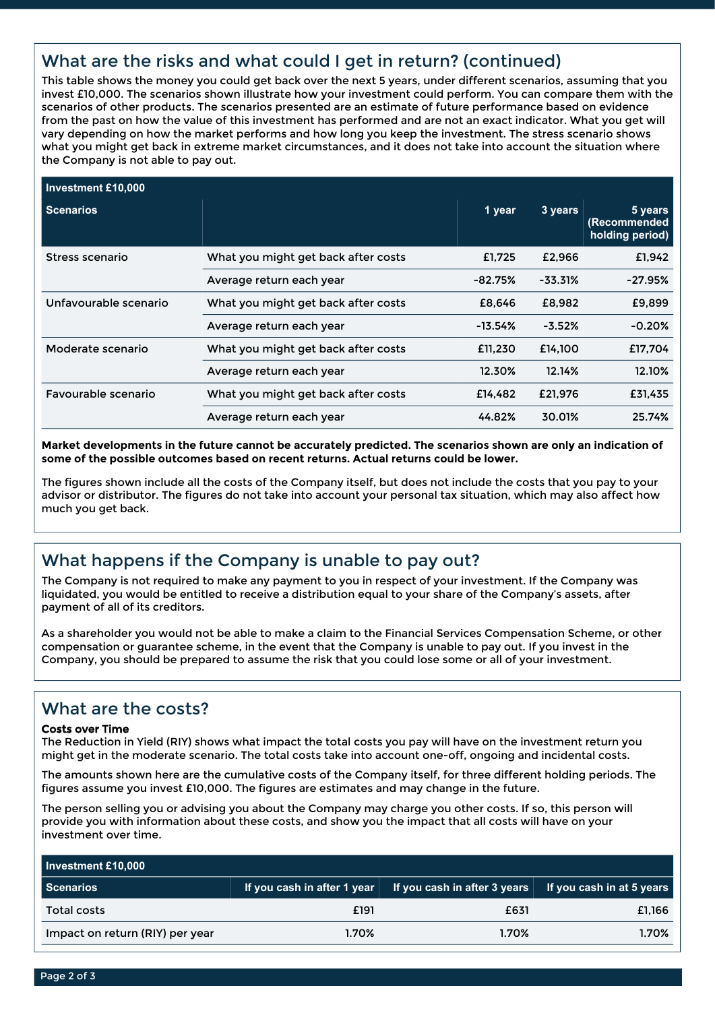# What are the risks and what could I get in return? (continued)

This table shows the money you could get back over the next 5 years, under different scenarios, assuming that you invest £10,000. The scenarios shown illustrate how your investment could perform. You can compare them with the scenarios of other products. The scenarios presented are an estimate of future performance based on evidence from the past on how the value of this investment has performed and are not an exact indicator. What you get will vary depending on how the market performs and how long you keep the investment. The stress scenario shows what you might get back in extreme market circumstances, and it does not take into account the situation where the Company is not able to pay out.

| Investment £10,000    |                                     |           |           |                                            |
|-----------------------|-------------------------------------|-----------|-----------|--------------------------------------------|
| Scenarios             |                                     | 1 year    | 3 years   | 5 years<br>(Recommended<br>holding period) |
| Stress scenario       | What you might get back after costs | £1,725    | £2,966    | £1,942                                     |
|                       | Average return each year            | $-82.75%$ | $-33.31%$ | $-27.95%$                                  |
| Unfavourable scenario | What you might get back after costs | £8.646    | £8,982    | £9,899                                     |
|                       | Average return each year            | $-13.54%$ | $-3.52%$  | $-0.20%$                                   |
| Moderate scenario     | What you might get back after costs | £11,230   | £14.100   | £17,704                                    |
|                       | Average return each year            | 12.30%    | 12.14%    | 12.10%                                     |
| Favourable scenario   | What you might get back after costs | £14,482   | £21,976   | £31,435                                    |
|                       | Average return each year            | 44.82%    | 30.01%    | 25.74%                                     |

**Market developments in the future cannot be accurately predicted. The scenarios shown are only an indication of some of the possible outcomes based on recent returns. Actual returns could be lower.**

The figures shown include all the costs of the Company itself, but does not include the costs that you pay to your advisor or distributor. The figures do not take into account your personal tax situation, which may also affect how much you get back.

## What happens if the Company is unable to pay out?

The Company is not required to make any payment to you in respect of your investment. If the Company was liquidated, you would be entitled to receive a distribution equal to your share of the Company's assets, after payment of all of its creditors.

As a shareholder you would not be able to make a claim to the Financial Services Compensation Scheme, or other compensation or guarantee scheme, in the event that the Company is unable to pay out. If you invest in the Company, you should be prepared to assume the risk that you could lose some or all of your investment.

### What are the costs?

#### Costs over Time

The Reduction in Yield (RIY) shows what impact the total costs you pay will have on the investment return you might get in the moderate scenario. The total costs take into account one-off, ongoing and incidental costs.

The amounts shown here are the cumulative costs of the Company itself, for three different holding periods. The figures assume you invest £10,000. The figures are estimates and may change in the future.

The person selling you or advising you about the Company may charge you other costs. If so, this person will provide you with information about these costs, and show you the impact that all costs will have on your investment over time.

| Investment £10,000              |                                     |                                                               |        |  |  |
|---------------------------------|-------------------------------------|---------------------------------------------------------------|--------|--|--|
| Scenarios                       | If you cash in after 1 year $\vert$ | <b>If you cash in after 3 years</b> If you cash in at 5 years |        |  |  |
| Total costs                     | £191                                | £631                                                          | £1,166 |  |  |
| Impact on return (RIY) per year | <b>1.70%</b>                        | 1.70%                                                         | 1.70%  |  |  |